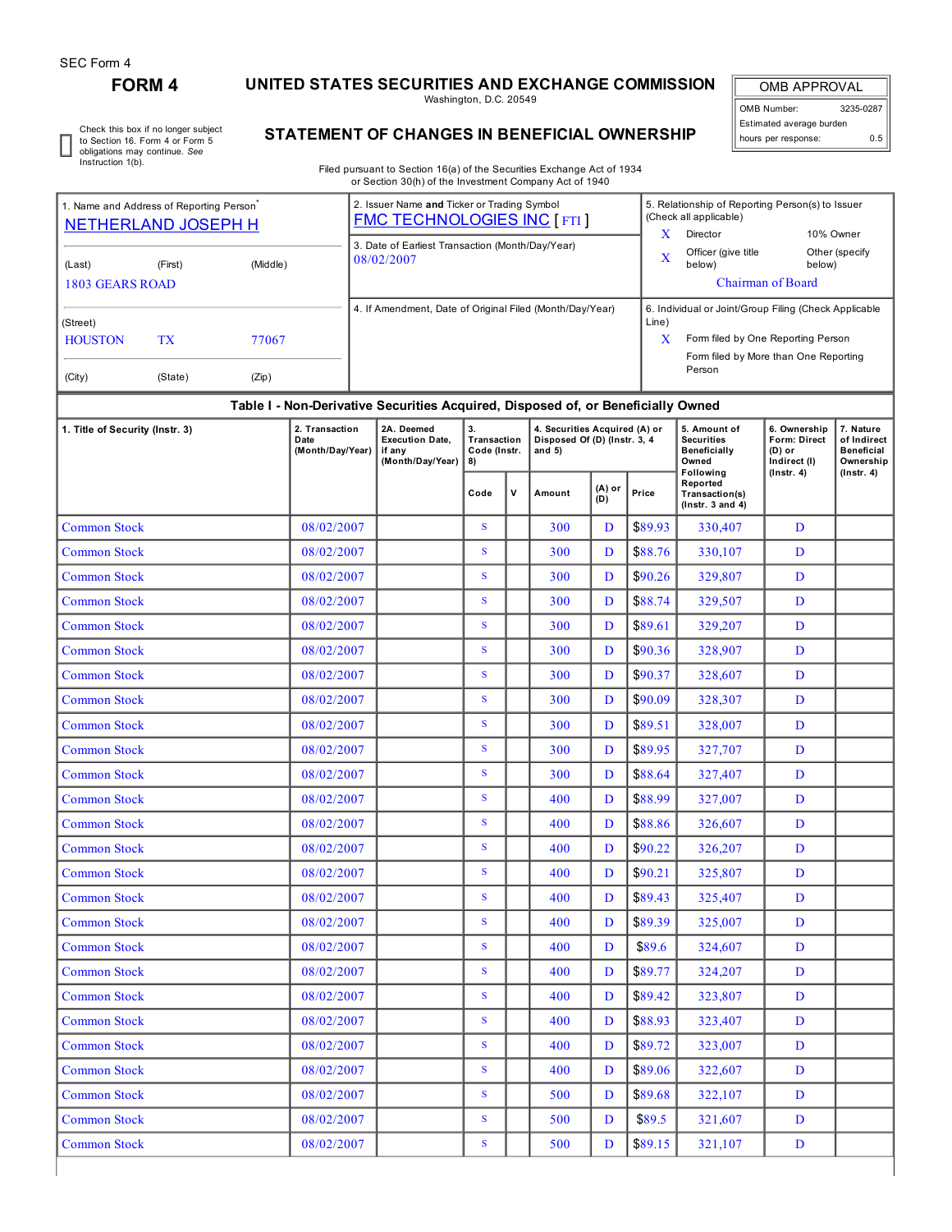# **FORM 4 UNITED STATES SECURITIES AND EXCHANGE COMMISSION**

Washington, D.C. 20549

OMB APPROVAL OMB Number: 3235-0287 Estimated average burden hours per response: 0.5

Check this box if no longer subject to Section 16. Form 4 or Form 5 obligations may continue. *See* Instruction 1(b).

# **STATEMENT OF CHANGES IN BENEFICIAL OWNERSHIP**

Filed pursuant to Section 16(a) of the Securities Exchange Act of 1934 or Section 30(h) of the Investment Company Act of 1940

| 1. Name and Address of Reporting Person <sup>®</sup><br><b>NETHERLAND JOSEPH H</b> |               |                | 2. Issuer Name and Ticker or Trading Symbol<br><b>FMC TECHNOLOGIES INC [FTI]</b> | 5. Relationship of Reporting Person(s) to Issuer<br>(Check all applicable)<br>x<br>Director<br>10% Owner                                                |
|------------------------------------------------------------------------------------|---------------|----------------|----------------------------------------------------------------------------------|---------------------------------------------------------------------------------------------------------------------------------------------------------|
| (Last)<br>1803 GEARS ROAD                                                          | (First)       | (Middle)       | 3. Date of Earliest Transaction (Month/Day/Year)<br>08/02/2007                   | Officer (give title<br>Other (specify<br>X<br>below)<br>below)<br><b>Chairman of Board</b>                                                              |
| (Street)<br><b>HOUSTON</b><br>(City)                                               | TX<br>(State) | 77067<br>(Zip) | 4. If Amendment, Date of Original Filed (Month/Day/Year)                         | 6. Individual or Joint/Group Filing (Check Applicable<br>Line)<br>Form filed by One Reporting Person<br>Form filed by More than One Reporting<br>Person |
|                                                                                    |               |                | Table I - Non-Derivative Securities Acquired, Disposed of, or Beneficially Owned |                                                                                                                                                         |

# **Table I - Non-Derivative Securities Acquired, Disposed of, or Beneficially Owned**

| 1. Title of Security (Instr. 3) | 2. Transaction<br>Date<br>(Month/Day/Year) | 2A. Deemed<br><b>Execution Date,</b><br>if any<br>(Month/Day/Year) | 3.<br>Transaction<br>Code (Instr.<br>8) |              | 4. Securities Acquired (A) or<br>Disposed Of (D) (Instr. 3, 4<br>and $5)$ |               |         | 5. Amount of<br><b>Securities</b><br>Beneficially<br>Owned<br>Following | 6. Ownership<br><b>Form: Direct</b><br>$(D)$ or<br>Indirect (I) | 7. Nature<br>of Indirect<br><b>Beneficial</b><br>Ownership |  |
|---------------------------------|--------------------------------------------|--------------------------------------------------------------------|-----------------------------------------|--------------|---------------------------------------------------------------------------|---------------|---------|-------------------------------------------------------------------------|-----------------------------------------------------------------|------------------------------------------------------------|--|
|                                 |                                            |                                                                    | Code                                    | $\mathbf{v}$ | Amount                                                                    | (A) or<br>(D) | Price   | Reported<br>Transaction(s)<br>$($ lnstr. $3$ and $4)$                   | $($ lnstr. 4 $)$                                                | $($ Instr. 4 $)$                                           |  |
| <b>Common Stock</b>             | 08/02/2007                                 |                                                                    | S                                       |              | 300                                                                       | D             | \$89.93 | 330,407                                                                 | D                                                               |                                                            |  |
| <b>Common Stock</b>             | 08/02/2007                                 |                                                                    | S                                       |              | 300                                                                       | D             | \$88.76 | 330,107                                                                 | D                                                               |                                                            |  |
| <b>Common Stock</b>             | 08/02/2007                                 |                                                                    | S                                       |              | 300                                                                       | D             | \$90.26 | 329,807                                                                 | D                                                               |                                                            |  |
| <b>Common Stock</b>             | 08/02/2007                                 |                                                                    | S                                       |              | 300                                                                       | D             | \$88.74 | 329,507                                                                 | D                                                               |                                                            |  |
| <b>Common Stock</b>             | 08/02/2007                                 |                                                                    | S                                       |              | 300                                                                       | D             | \$89.61 | 329,207                                                                 | D                                                               |                                                            |  |
| <b>Common Stock</b>             | 08/02/2007                                 |                                                                    | S                                       |              | 300                                                                       | D             | \$90.36 | 328,907                                                                 | D                                                               |                                                            |  |
| <b>Common Stock</b>             | 08/02/2007                                 |                                                                    | $\mathbf S$                             |              | 300                                                                       | D             | \$90.37 | 328,607                                                                 | D                                                               |                                                            |  |
| <b>Common Stock</b>             | 08/02/2007                                 |                                                                    | S                                       |              | 300                                                                       | D             | \$90.09 | 328,307                                                                 | D                                                               |                                                            |  |
| <b>Common Stock</b>             | 08/02/2007                                 |                                                                    | ${\bf S}$                               |              | 300                                                                       | D             | \$89.51 | 328,007                                                                 | D                                                               |                                                            |  |
| <b>Common Stock</b>             | 08/02/2007                                 |                                                                    | S                                       |              | 300                                                                       | D             | \$89.95 | 327,707                                                                 | D                                                               |                                                            |  |
| <b>Common Stock</b>             | 08/02/2007                                 |                                                                    | S                                       |              | 300                                                                       | D             | \$88.64 | 327,407                                                                 | D                                                               |                                                            |  |
| <b>Common Stock</b>             | 08/02/2007                                 |                                                                    | S                                       |              | 400                                                                       | D             | \$88.99 | 327,007                                                                 | D                                                               |                                                            |  |
| <b>Common Stock</b>             | 08/02/2007                                 |                                                                    | S                                       |              | 400                                                                       | D             | \$88.86 | 326,607                                                                 | D                                                               |                                                            |  |
| <b>Common Stock</b>             | 08/02/2007                                 |                                                                    | S                                       |              | 400                                                                       | D             | \$90.22 | 326,207                                                                 | D                                                               |                                                            |  |
| <b>Common Stock</b>             | 08/02/2007                                 |                                                                    | ${\bf S}$                               |              | 400                                                                       | D             | \$90.21 | 325,807                                                                 | D                                                               |                                                            |  |
| <b>Common Stock</b>             | 08/02/2007                                 |                                                                    | S                                       |              | 400                                                                       | D             | \$89.43 | 325,407                                                                 | D                                                               |                                                            |  |
| <b>Common Stock</b>             | 08/02/2007                                 |                                                                    | S                                       |              | 400                                                                       | D             | \$89.39 | 325,007                                                                 | D                                                               |                                                            |  |
| <b>Common Stock</b>             | 08/02/2007                                 |                                                                    | S                                       |              | 400                                                                       | D             | \$89.6  | 324,607                                                                 | D                                                               |                                                            |  |
| <b>Common Stock</b>             | 08/02/2007                                 |                                                                    | S                                       |              | 400                                                                       | D             | \$89.77 | 324,207                                                                 | D                                                               |                                                            |  |
| <b>Common Stock</b>             | 08/02/2007                                 |                                                                    | $\mathbf S$                             |              | 400                                                                       | D             | \$89.42 | 323,807                                                                 | D                                                               |                                                            |  |
| <b>Common Stock</b>             | 08/02/2007                                 |                                                                    | S                                       |              | 400                                                                       | D             | \$88.93 | 323,407                                                                 | D                                                               |                                                            |  |
| <b>Common Stock</b>             | 08/02/2007                                 |                                                                    | S                                       |              | 400                                                                       | D             | \$89.72 | 323,007                                                                 | D                                                               |                                                            |  |
| <b>Common Stock</b>             | 08/02/2007                                 |                                                                    | S                                       |              | 400                                                                       | D             | \$89.06 | 322,607                                                                 | D                                                               |                                                            |  |
| <b>Common Stock</b>             | 08/02/2007                                 |                                                                    | $\mathbf S$                             |              | 500                                                                       | D             | \$89.68 | 322,107                                                                 | D                                                               |                                                            |  |
| <b>Common Stock</b>             | 08/02/2007                                 |                                                                    | S                                       |              | 500                                                                       | D             | \$89.5  | 321,607                                                                 | D                                                               |                                                            |  |
| <b>Common Stock</b>             | 08/02/2007                                 |                                                                    | S                                       |              | 500                                                                       | D             | \$89.15 | 321,107                                                                 | D                                                               |                                                            |  |